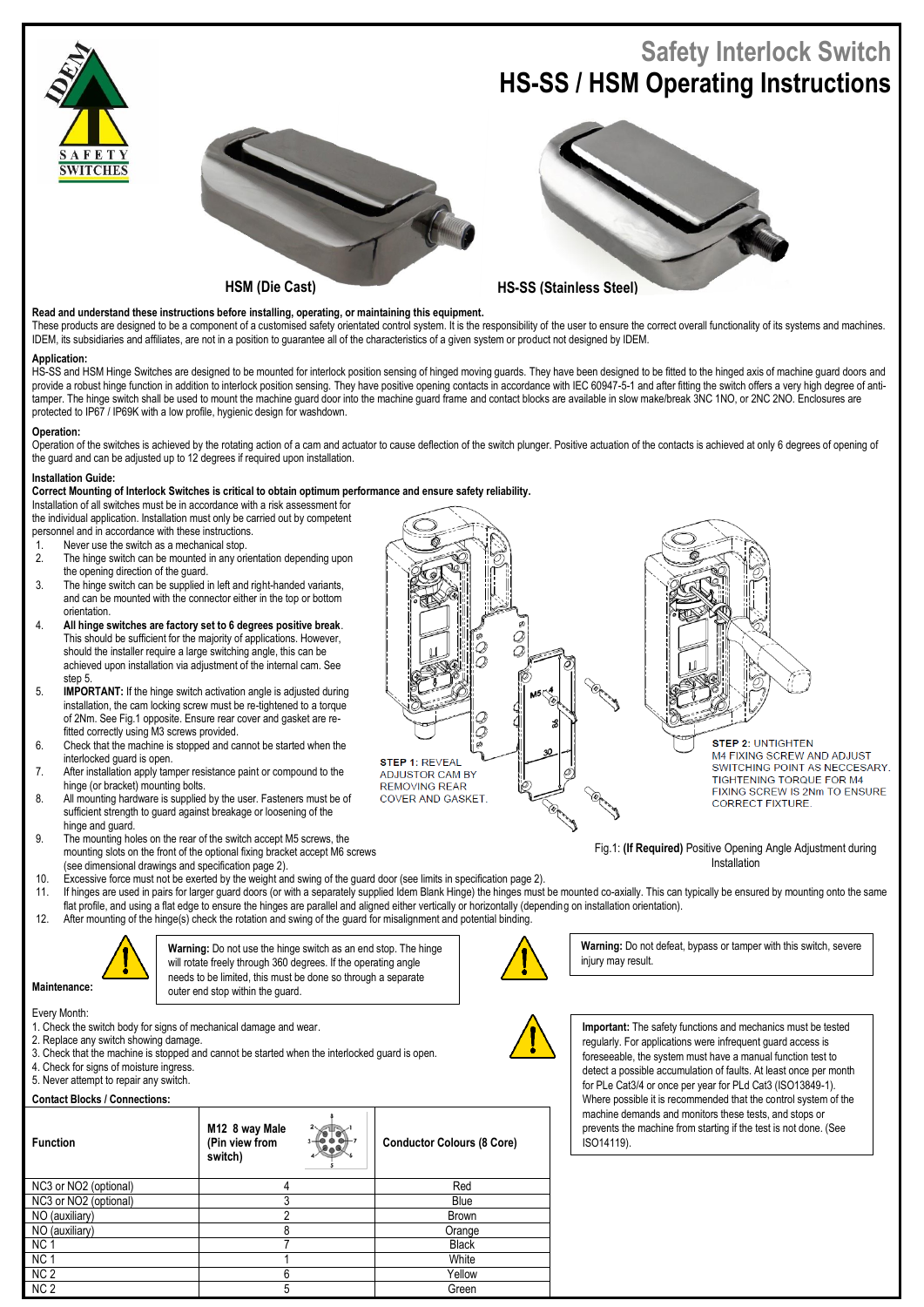

**Read and understand these instructions before installing, operating, or maintaining this equipment.**

These products are designed to be a component of a customised safety orientated control system. It is the responsibility of the user to ensure the correct overall functionality of its systems and machines. IDEM, its subsidiaries and affiliates, are not in a position to guarantee all of the characteristics of a given system or product not designed by IDEM.

## **Application:**

HS-SS and HSM Hinge Switches are designed to be mounted for interlock position sensing of hinged moving guards. They have been designed to be fitted to the hinged axis of machine guard doors and provide a robust hinge function in addition to interlock position sensing. They have positive opening contacts in accordance with IEC 60947-5-1 and after fitting the switch offers a very high degree of antitamper. The hinge switch shall be used to mount the machine quard door into the machine guard frame and contact blocks are available in slow make/break 3NC 1NO, or 2NC 2NO. Enclosures are protected to IP67 / IP69K with a low profile, hygienic design for washdown.

## **Operation:**

Operation of the switches is achieved by the rotating action of a cam and actuator to cause deflection of the switch plunger. Positive actuation of the contacts is achieved at only 6 degrees of opening of the guard and can be adjusted up to 12 degrees if required upon installation.

## **Installation Guide:**

**Correct Mounting of Interlock Switches is critical to obtain optimum performance and ensure safety reliability.**

Installation of all switches must be in accordance with a risk assessment for

the individual application. Installation must only be carried out by competent

personnel and in accordance with these instructions.

- 1. Never use the switch as a mechanical stop.<br>2. The binge switch can be mounted in any ori
- 2. The hinge switch can be mounted in any orientation depending upon the opening direction of the guard.
- 3. The hinge switch can be supplied in left and right-handed variants, and can be mounted with the connector either in the top or bottom orientation.
- 4. **All hinge switches are factory set to 6 degrees positive break**. This should be sufficient for the majority of applications. However, should the installer require a large switching angle, this can be achieved upon installation via adjustment of the internal cam. See step<sub>5</sub>
- 5. **IMPORTANT:** If the hinge switch activation angle is adjusted during installation, the cam locking screw must be re-tightened to a torque of 2Nm. See Fig.1 opposite. Ensure rear cover and gasket are refitted correctly using M3 screws provided.
- 6. Check that the machine is stopped and cannot be started when the interlocked guard is open.
- 7. After installation apply tamper resistance paint or compound to the hinge (or bracket) mounting bolts.
- 8. All mounting hardware is supplied by the user. Fasteners must be of sufficient strength to guard against breakage or loosening of the hinge and guard.
- 9. The mounting holes on the rear of the switch accept M5 screws, the mounting slots on the front of the optional fixing bracket accept M6 screws (see dimensional drawings and specification page 2).
- 10. Excessive force must not be exerted by the weight and swing of the guard door (see limits in specification page 2).
- 11. If hinges are used in pairs for larger guard doors (or with a separately supplied Idem Blank Hinge) the hinges must be mounted co-axially. This can typically be ensured by mounting onto the same flat profile, and using a flat edge to ensure the hinges are parallel and aligned either vertically or horizontally (depending on installation orientation).

**STEP 1: REVEAL** 

**ADJUSTOR CAM BY** 

**COVER AND GASKET** 

**REMOVING REAR** 

12. After mounting of the hinge(s) check the rotation and swing of the guard for misalignment and potential binding.



**Warning:** Do not use the hinge switch as an end stop. The hinge will rotate freely through 360 degrees. If the operating angle needs to be limited, this must be done so through a separate outer end stop within the guard.

Every Month:

1. Check the switch body for signs of mechanical damage and wear.

- 2. Replace any switch showing damage.
- 3. Check that the machine is stopped and cannot be started when the interlocked guard is open.
- 4. Check for signs of moisture ingress.
- 5. Never attempt to repair any switch.

## **Contact Blocks / Connections:**

| <b>Function</b>       | M12 8 way Male<br>(Pin view from<br>switch) | <b>Conductor Colours (8 Core)</b> |
|-----------------------|---------------------------------------------|-----------------------------------|
| NC3 or NO2 (optional) | 4                                           | Red                               |
| NC3 or NO2 (optional) |                                             | Blue                              |
| NO (auxiliary)        | ኅ                                           | <b>Brown</b>                      |
| NO (auxiliary)        | 8                                           | Orange                            |
| NC <sub>1</sub>       |                                             | <b>Black</b>                      |
| NC <sub>1</sub>       |                                             | White                             |
| NC <sub>2</sub>       | 6                                           | Yellow                            |
| NC <sub>2</sub>       | 5                                           | Green                             |



**Warning:** Do not defeat, bypass or tamper with this switch, severe injury may result.

Installation



**Important:** The safety functions and mechanics must be tested regularly. For applications were infrequent guard access is foreseeable, the system must have a manual function test to detect a possible accumulation of faults. At least once per month for PLe Cat3/4 or once per year for PLd Cat3 (ISO13849-1). Where possible it is recommended that the control system of the machine demands and monitors these tests, and stops or prevents the machine from starting if the test is not done. (See ISO14119).